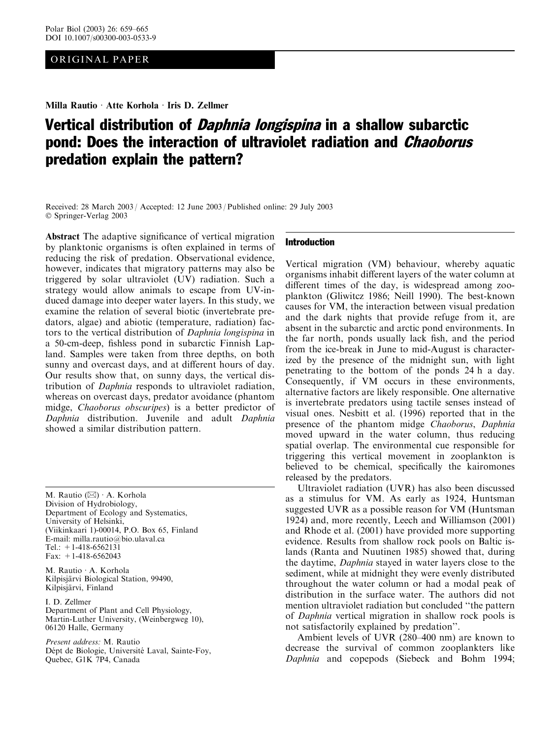# ORIGINAL PAPER

Milla Rautio  $\cdot$  Atte Korhola  $\cdot$  Iris D. Zellmer

# Vertical distribution of *Daphnia longispina* in a shallow subarctic pond: Does the interaction of ultraviolet radiation and *Chaoborus* predation explain the pattern?

Received: 28 March 2003 / Accepted: 12 June 2003 / Published online: 29 July 2003 Springer-Verlag 2003

Abstract The adaptive significance of vertical migration by planktonic organisms is often explained in terms of reducing the risk of predation. Observational evidence, however, indicates that migratory patterns may also be triggered by solar ultraviolet (UV) radiation. Such a strategy would allow animals to escape from UV-induced damage into deeper water layers. In this study, we examine the relation of several biotic (invertebrate predators, algae) and abiotic (temperature, radiation) factors to the vertical distribution of Daphnia longispina in a 50-cm-deep, fishless pond in subarctic Finnish Lapland. Samples were taken from three depths, on both sunny and overcast days, and at different hours of day. Our results show that, on sunny days, the vertical distribution of Daphnia responds to ultraviolet radiation, whereas on overcast days, predator avoidance (phantom midge, Chaoborus obscuripes) is a better predictor of Daphnia distribution. Juvenile and adult Daphnia showed a similar distribution pattern.

M. Rautio  $(\boxtimes) \cdot A$ . Korhola Division of Hydrobiology, Department of Ecology and Systematics, University of Helsinki, (Viikinkaari 1)-00014, P.O. Box 65, Finland E-mail: milla.rautio@bio.ulaval.ca Tel.:  $+1-418-6562131$ Fax: +1-418-6562043

M. Rautio · A. Korhola Kilpisjärvi Biological Station, 99490, Kilpisjärvi, Finland

I. D. Zellmer Department of Plant and Cell Physiology, Martin-Luther University, (Weinbergweg 10), 06120 Halle, Germany

Present address: M. Rautio Dépt de Biologie, Université Laval, Sainte-Foy, Quebec, G1K 7P4, Canada

# Introduction

Vertical migration (VM) behaviour, whereby aquatic organisms inhabit different layers of the water column at different times of the day, is widespread among zooplankton (Gliwitcz 1986; Neill 1990). The best-known causes for VM, the interaction between visual predation and the dark nights that provide refuge from it, are absent in the subarctic and arctic pond environments. In the far north, ponds usually lack fish, and the period from the ice-break in June to mid-August is characterized by the presence of the midnight sun, with light penetrating to the bottom of the ponds 24 h a day. Consequently, if VM occurs in these environments, alternative factors are likely responsible. One alternative is invertebrate predators using tactile senses instead of visual ones. Nesbitt et al. (1996) reported that in the presence of the phantom midge Chaoborus, Daphnia moved upward in the water column, thus reducing spatial overlap. The environmental cue responsible for triggering this vertical movement in zooplankton is believed to be chemical, specifically the kairomones released by the predators.

Ultraviolet radiation (UVR) has also been discussed as a stimulus for VM. As early as 1924, Huntsman suggested UVR as a possible reason for VM (Huntsman 1924) and, more recently, Leech and Williamson (2001) and Rhode et al. (2001) have provided more supporting evidence. Results from shallow rock pools on Baltic islands (Ranta and Nuutinen 1985) showed that, during the daytime, Daphnia stayed in water layers close to the sediment, while at midnight they were evenly distributed throughout the water column or had a modal peak of distribution in the surface water. The authors did not mention ultraviolet radiation but concluded ''the pattern of Daphnia vertical migration in shallow rock pools is not satisfactorily explained by predation''.

Ambient levels of UVR (280–400 nm) are known to decrease the survival of common zooplankters like Daphnia and copepods (Siebeck and Bohm 1994;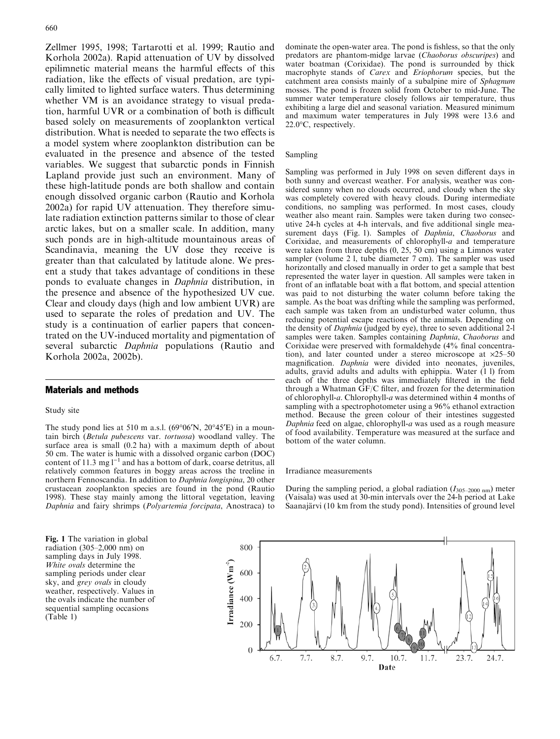Zellmer 1995, 1998; Tartarotti et al. 1999; Rautio and Korhola 2002a). Rapid attenuation of UV by dissolved epilimnetic material means the harmful effects of this radiation, like the effects of visual predation, are typically limited to lighted surface waters. Thus determining whether VM is an avoidance strategy to visual predation, harmful UVR or a combination of both is difficult based solely on measurements of zooplankton vertical distribution. What is needed to separate the two effects is a model system where zooplankton distribution can be evaluated in the presence and absence of the tested variables. We suggest that subarctic ponds in Finnish Lapland provide just such an environment. Many of these high-latitude ponds are both shallow and contain enough dissolved organic carbon (Rautio and Korhola 2002a) for rapid UV attenuation. They therefore simulate radiation extinction patterns similar to those of clear arctic lakes, but on a smaller scale. In addition, many such ponds are in high-altitude mountainous areas of Scandinavia, meaning the UV dose they receive is greater than that calculated by latitude alone. We present a study that takes advantage of conditions in these ponds to evaluate changes in Daphnia distribution, in the presence and absence of the hypothesized UV cue. Clear and cloudy days (high and low ambient UVR) are used to separate the roles of predation and UV. The study is a continuation of earlier papers that concentrated on the UV-induced mortality and pigmentation of several subarctic Daphnia populations (Rautio and Korhola 2002a, 2002b).

## Materials and methods

### Study site

The study pond lies at 510 m a.s.l.  $(69^{\circ}06'N, 20^{\circ}45'E)$  in a mountain birch (Betula pubescens var. tortuosa) woodland valley. The surface area is small (0.2 ha) with a maximum depth of about 50 cm. The water is humic with a dissolved organic carbon (DOC) content of 11.3 mg  $I^{-1}$  and has a bottom of dark, coarse detritus, all relatively common features in boggy areas across the treeline in northern Fennoscandia. In addition to Daphnia longispina, 20 other crustacean zooplankton species are found in the pond (Rautio 1998). These stay mainly among the littoral vegetation, leaving Daphnia and fairy shrimps (Polyartemia forcipata, Anostraca) to

Fig. 1 The variation in global radiation (305–2,000 nm) on sampling days in July 1998. White ovals determine the sampling periods under clear sky, and grey ovals in cloudy weather, respectively. Values in the ovals indicate the number of sequential sampling occasions (Table 1)

dominate the open-water area. The pond is fishless, so that the only predators are phantom-midge larvae (Chaoborus obscuripes) and water boatman (Corixidae). The pond is surrounded by thick macrophyte stands of Carex and Eriophorum species, but the catchment area consists mainly of a subalpine mire of Sphagnum mosses. The pond is frozen solid from October to mid-June. The summer water temperature closely follows air temperature, thus exhibiting a large diel and seasonal variation. Measured minimum and maximum water temperatures in July 1998 were 13.6 and 22.0°C, respectively.

#### Sampling

Sampling was performed in July 1998 on seven different days in both sunny and overcast weather. For analysis, weather was considered sunny when no clouds occurred, and cloudy when the sky was completely covered with heavy clouds. During intermediate conditions, no sampling was performed. In most cases, cloudy weather also meant rain. Samples were taken during two consecutive 24-h cycles at 4-h intervals, and five additional single measurement days (Fig. 1). Samples of Daphnia, Chaoborus and Corixidae, and measurements of chlorophyll-a and temperature were taken from three depths (0, 25, 50 cm) using a Limnos water sampler (volume 2 l, tube diameter 7 cm). The sampler was used horizontally and closed manually in order to get a sample that best represented the water layer in question. All samples were taken in front of an inflatable boat with a flat bottom, and special attention was paid to not disturbing the water column before taking the sample. As the boat was drifting while the sampling was performed, each sample was taken from an undisturbed water column, thus reducing potential escape reactions of the animals. Depending on the density of Daphnia (judged by eye), three to seven additional 2-l samples were taken. Samples containing Daphnia, Chaoborus and Corixidae were preserved with formaldehyde (4% final concentration), and later counted under a stereo microscope at  $\times 25-50$ magnification. Daphnia were divided into neonates, juveniles, adults, gravid adults and adults with ephippia. Water (1 l) from each of the three depths was immediately filtered in the field through a Whatman GF/C filter, and frozen for the determination of chlorophyll-a. Chlorophyll-a was determined within 4 months of sampling with a spectrophotometer using a 96% ethanol extraction method. Because the green colour of their intestines suggested Daphnia feed on algae, chlorophyll-a was used as a rough measure of food availability. Temperature was measured at the surface and bottom of the water column.

#### Irradiance measurements

During the sampling period, a global radiation  $(I_{305-2000 \text{ nm}})$  meter (Vaisala) was used at 30-min intervals over the 24-h period at Lake Saanajärvi (10 km from the study pond). Intensities of ground level

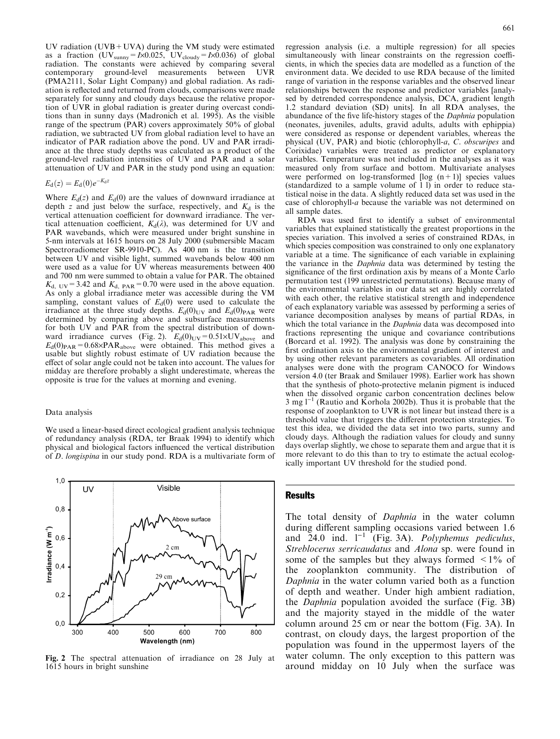UV radiation  $(UVB + UVA)$  during the VM study were estimated as a fraction  $(UV_{\text{sumny}}=I\times 0.025, UV_{\text{cloudy}}=I\times 0.036)$  of global radiation. The constants were achieved by comparing several contemporary ground-level measurements between UVR (PMA2111, Solar Light Company) and global radiation. As radiation is reflected and returned from clouds, comparisons were made separately for sunny and cloudy days because the relative proportion of UVR in global radiation is greater during overcast conditions than in sunny days (Madronich et al. 1995). As the visible range of the spectrum (PAR) covers approximately 50% of global radiation, we subtracted UV from global radiation level to have an indicator of PAR radiation above the pond. UV and PAR irradiance at the three study depths was calculated as a product of the ground-level radiation intensities of UV and PAR and a solar attenuation of UV and PAR in the study pond using an equation:

$$
E_{\rm d}(z) = E_{\rm d}(0)e^{-K_{\rm d}z}
$$

Where  $E_d(z)$  and  $E_d(0)$  are the values of downward irradiance at depth z and just below the surface, respectively, and  $K_d$  is the vertical attenuation coefficient for downward irradiance. The vertical attenuation coefficient,  $K_d(\lambda)$ , was determined for UV and PAR wavebands, which were measured under bright sunshine in 5-nm intervals at 1615 hours on 28 July 2000 (submersible Macam Spectroradiometer SR-9910-PC). As 400 nm is the transition between UV and visible light, summed wavebands below 400 nm were used as a value for UV whereas measurements between 400 and 700 nm were summed to obtain a value for PAR. The obtained  $K_{d}$ ,  $_{UV}$  = 3.42 and  $K_{d}$ ,  $_{PAR}$  = 0.70 were used in the above equation. As only a global irradiance meter was accessible during the VM sampling, constant values of  $E_d(0)$  were used to calculate the irradiance at the three study depths.  $E_d(0)_{UV}$  and  $E_d(0)_{PAR}$  were determined by comparing above and subsurface measurements for both UV and PAR from the spectral distribution of downward irradiance curves (Fig. 2).  $E_d(0)_{UV} = 0.51 \times UV_{above}$  and  $E_d(0)_{\text{PAR}} = 0.68 \times \text{PAR}_{\text{above}}$  were obtained. This method gives a usable but slightly robust estimate of UV radiation because the effect of solar angle could not be taken into account. The values for midday are therefore probably a slight underestimate, whereas the opposite is true for the values at morning and evening.

#### Data analysis

We used a linear-based direct ecological gradient analysis technique of redundancy analysis (RDA, ter Braak 1994) to identify which physical and biological factors influenced the vertical distribution of D. longispina in our study pond. RDA is a multivariate form of



Fig. 2 The spectral attenuation of irradiance on 28 July at 1615 hours in bright sunshine

regression analysis (i.e. a multiple regression) for all species simultaneously with linear constraints on the regression coefficients, in which the species data are modelled as a function of the environment data. We decided to use RDA because of the limited range of variation in the response variables and the observed linear relationships between the response and predictor variables [analysed by detrended correspondence analysis, DCA, gradient length 1.2 standard deviation (SD) units]. In all RDA analyses, the abundance of the five life-history stages of the Daphnia population (neonates, juveniles, adults, gravid adults, adults with ephippia) were considered as response or dependent variables, whereas the physical (UV, PAR) and biotic (chlorophyll-a, C. obscuripes and Corixidae) variables were treated as predictor or explanatory variables. Temperature was not included in the analyses as it was measured only from surface and bottom. Multivariate analyses were performed on log-transformed  $[\log (n+1)]$  species values (standardized to a sample volume of  $\overline{1}$  l) in order to reduce statistical noise in the data. A slightly reduced data set was used in the case of chlorophyll-a because the variable was not determined on all sample dates.

RDA was used first to identify a subset of environmental variables that explained statistically the greatest proportions in the species variation. This involved a series of constrained RDAs, in which species composition was constrained to only one explanatory variable at a time. The significance of each variable in explaining the variance in the Daphnia data was determined by testing the significance of the first ordination axis by means of a Monte Carlo permutation test (199 unrestricted permutations). Because many of the environmental variables in our data set are highly correlated with each other, the relative statistical strength and independence of each explanatory variable was assessed by performing a series of variance decomposition analyses by means of partial RDAs, in which the total variance in the *Daphnia* data was decomposed into fractions representing the unique and covariance contributions (Borcard et al. 1992). The analysis was done by constraining the first ordination axis to the environmental gradient of interest and by using other relevant parameters as covariables. All ordination analyses were done with the program CANOCO for Windows version 4.0 (ter Braak and Smilauer 1998). Earlier work has shown that the synthesis of photo-protective melanin pigment is induced when the dissolved organic carbon concentration declines below 3 mg  $1^{-1}$  (Rautio and Korhola 2002b). Thus it is probable that the response of zooplankton to UVR is not linear but instead there is a threshold value that triggers the different protection strategies. To test this idea, we divided the data set into two parts, sunny and cloudy days. Although the radiation values for cloudy and sunny days overlap slightly, we chose to separate them and argue that it is more relevant to do this than to try to estimate the actual ecologically important UV threshold for the studied pond.

## Results

The total density of *Daphnia* in the water column during different sampling occasions varied between 1.6 and  $\tilde{2}4.0$  ind.  $1^{-1}$  (Fig. 3A). Polyphemus pediculus, Streblocerus serricaudatus and Alona sp. were found in some of the samples but they always formed  $\leq 1\%$  of the zooplankton community. The distribution of Daphnia in the water column varied both as a function of depth and weather. Under high ambient radiation, the Daphnia population avoided the surface (Fig. 3B) and the majority stayed in the middle of the water column around 25 cm or near the bottom (Fig. 3A). In contrast, on cloudy days, the largest proportion of the population was found in the uppermost layers of the water column. The only exception to this pattern was around midday on 10 July when the surface was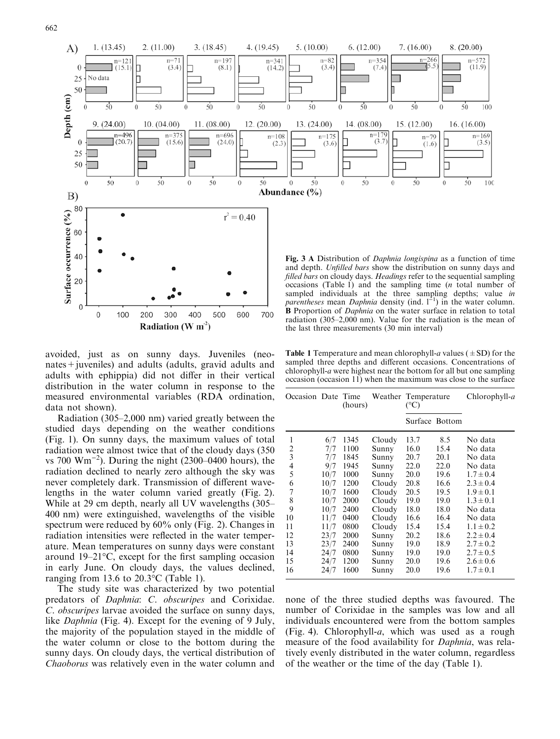

700

avoided, just as on sunny days. Juveniles (neonates+juveniles) and adults (adults, gravid adults and adults with ephippia) did not differ in their vertical distribution in the water column in response to the measured environmental variables (RDA ordination, data not shown).

300

Radiation (W  $m^2$ )

400

500

600

 $\boldsymbol{0}$ 

100

200

Radiation (305–2,000 nm) varied greatly between the studied days depending on the weather conditions (Fig. 1). On sunny days, the maximum values of total radiation were almost twice that of the cloudy days (350 vs  $700 \text{ Wm}^{-2}$ ). During the night (2300–0400 hours), the radiation declined to nearly zero although the sky was never completely dark. Transmission of different wavelengths in the water column varied greatly (Fig. 2). While at 29 cm depth, nearly all UV wavelengths (305– 400 nm) were extinguished, wavelengths of the visible spectrum were reduced by 60% only (Fig. 2). Changes in radiation intensities were reflected in the water temperature. Mean temperatures on sunny days were constant around  $19-21$ °C, except for the first sampling occasion in early June. On cloudy days, the values declined, ranging from 13.6 to  $20.3$ °C (Table 1).

The study site was characterized by two potential predators of Daphnia: C. obscuripes and Corixidae. C. obscuripes larvae avoided the surface on sunny days, like *Daphnia* (Fig. 4). Except for the evening of 9 July, the majority of the population stayed in the middle of the water column or close to the bottom during the sunny days. On cloudy days, the vertical distribution of Chaoborus was relatively even in the water column and

and depth. Unfilled bars show the distribution on sunny days and filled bars on cloudy days. Headings refer to the sequential sampling occasions (Table 1) and the sampling time (n total number of sampled individuals at the three sampling depths; value in parentheses mean Daphnia density (ind.  $1^{-1}$ ) in the water column. **B** Proportion of *Daphnia* on the water surface in relation to total radiation  $(305-2,000)$  nm). Value for the radiation is the mean of the last three measurements (30 min interval)

 $n=572$ <br>(11.9)

100

 $n=169$ 

 $(3.5)$ 

100

**Table 1** Temperature and mean chlorophyll-a values ( $\pm$  SD) for the sampled three depths and different occasions. Concentrations of chlorophyll-a were highest near the bottom for all but one sampling occasion (occasion 11) when the maximum was close to the surface

| Occasion Date Time                                                                         |                                                                                                                  | (hours)                                                                                                              |                                                                                                                                            | Weather Temperature<br>$({}^{\circ}C)$                                                                               |                                                                                                                     | Chlorophyll- $a$                                                                                                                                                                                                        |
|--------------------------------------------------------------------------------------------|------------------------------------------------------------------------------------------------------------------|----------------------------------------------------------------------------------------------------------------------|--------------------------------------------------------------------------------------------------------------------------------------------|----------------------------------------------------------------------------------------------------------------------|---------------------------------------------------------------------------------------------------------------------|-------------------------------------------------------------------------------------------------------------------------------------------------------------------------------------------------------------------------|
|                                                                                            |                                                                                                                  |                                                                                                                      |                                                                                                                                            |                                                                                                                      | Surface Bottom                                                                                                      |                                                                                                                                                                                                                         |
| 1<br>2<br>$\overline{3}$<br>4<br>5<br>6<br>7<br>8<br>9<br>10<br>11<br>12<br>13<br>14<br>15 | 6/7<br>7/7<br>7/7<br>9/7<br>10/7<br>10/7<br>10/7<br>10/7<br>10/7<br>11/7<br>11/7<br>23/7<br>23/7<br>24/7<br>24/7 | 1345<br>1100<br>1845<br>1945<br>1000<br>1200<br>1600<br>2000<br>2400<br>0400<br>0800<br>2000<br>2400<br>0800<br>1200 | Cloudy<br>Sunny<br>Sunny<br>Sunny<br>Sunny<br>Cloudy<br>Cloudy<br>Cloudy<br>Cloudy<br>Cloudy<br>Cloudy<br>Sunny<br>Sunny<br>Sunny<br>Sunny | 13.7<br>16.0<br>20.7<br>22.0<br>20.0<br>20.8<br>20.5<br>19.0<br>18.0<br>16.6<br>15.4<br>20.2<br>19.0<br>19.0<br>20.0 | 8.5<br>15.4<br>20.1<br>22.0<br>19.6<br>16.6<br>19.5<br>19.0<br>18.0<br>16.4<br>15.4<br>18.6<br>18.9<br>19.0<br>19.6 | No data<br>No data<br>No data<br>No data<br>$1.7 \pm 0.4$<br>$2.3 \pm 0.4$<br>$1.9 \pm 0.1$<br>$1.3 \pm 0.1$<br>No data<br>No data<br>$1.1 \pm 0.2$<br>$2.2 \pm 0.4$<br>$2.7 \pm 0.2$<br>$2.7 \pm 0.5$<br>$2.6 \pm 0.6$ |
| 16                                                                                         | 24/7                                                                                                             | 1600                                                                                                                 | Sunny                                                                                                                                      | 20.0                                                                                                                 | 19.6                                                                                                                | $1.7 \pm 0.1$                                                                                                                                                                                                           |

none of the three studied depths was favoured. The number of Corixidae in the samples was low and all individuals encountered were from the bottom samples (Fig. 4). Chlorophyll-a, which was used as a rough measure of the food availability for Daphnia, was relatively evenly distributed in the water column, regardless of the weather or the time of the day (Table 1).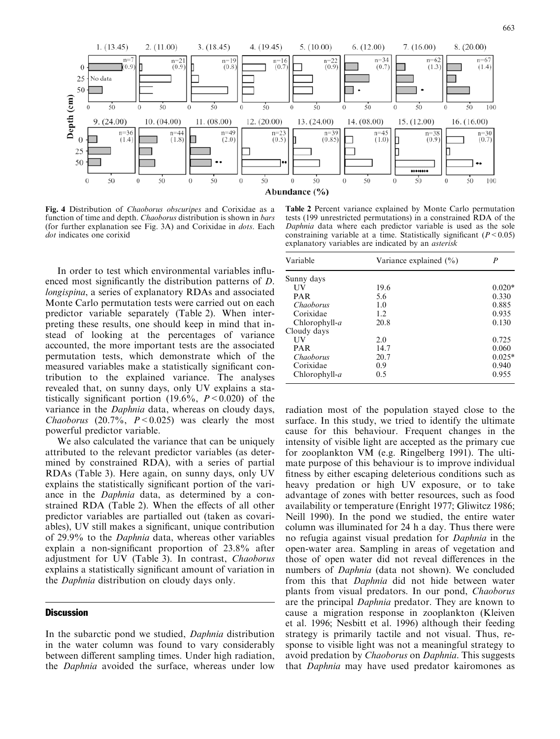

Fig. 4 Distribution of Chaoborus obscuripes and Corixidae as a function of time and depth. Chaoborus distribution is shown in bars (for further explanation see Fig. 3A) and Corixidae in dots. Each dot indicates one corixid

In order to test which environmental variables influenced most significantly the distribution patterns of D. longispina, a series of explanatory RDAs and associated Monte Carlo permutation tests were carried out on each predictor variable separately (Table 2). When interpreting these results, one should keep in mind that instead of looking at the percentages of variance accounted, the more important tests are the associated permutation tests, which demonstrate which of the measured variables make a statistically significant contribution to the explained variance. The analyses revealed that, on sunny days, only UV explains a statistically significant portion (19.6%,  $P < 0.020$ ) of the variance in the Daphnia data, whereas on cloudy days, Chaoborus (20.7%,  $P < 0.025$ ) was clearly the most powerful predictor variable.

We also calculated the variance that can be uniquely attributed to the relevant predictor variables (as determined by constrained RDA), with a series of partial RDAs (Table 3). Here again, on sunny days, only UV explains the statistically significant portion of the variance in the Daphnia data, as determined by a constrained RDA (Table 2). When the effects of all other predictor variables are partialled out (taken as covariables), UV still makes a significant, unique contribution of 29.9% to the Daphnia data, whereas other variables explain a non-significant proportion of 23.8% after adjustment for UV (Table 3). In contrast, Chaoborus explains a statistically significant amount of variation in the Daphnia distribution on cloudy days only.

## **Discussion**

In the subarctic pond we studied, Daphnia distribution in the water column was found to vary considerably between different sampling times. Under high radiation, the Daphnia avoided the surface, whereas under low

Table 2 Percent variance explained by Monte Carlo permutation tests (199 unrestricted permutations) in a constrained RDA of the Daphnia data where each predictor variable is used as the sole constraining variable at a time. Statistically significant  $(P < 0.05)$ explanatory variables are indicated by an *asterisk* 

| Variable         | Variance explained $(\% )$ | P        |
|------------------|----------------------------|----------|
| Sunny days       |                            |          |
| UV               | 19.6                       | $0.020*$ |
| PAR              | 5.6                        | 0.330    |
| Chaoborus        | 1.0                        | 0.885    |
| Corixidae        | 1.2.                       | 0.935    |
| Chlorophyll- $a$ | 20.8                       | 0.130    |
| Cloudy days      |                            |          |
| UV               | 2.0                        | 0.725    |
| PAR              | 14.7                       | 0.060    |
| Chaoborus        | 20.7                       | $0.025*$ |
| Corixidae        | 0.9                        | 0.940    |
| Chlorophyll- $a$ | 0.5                        | 0.955    |

radiation most of the population stayed close to the surface. In this study, we tried to identify the ultimate cause for this behaviour. Frequent changes in the intensity of visible light are accepted as the primary cue for zooplankton VM (e.g. Ringelberg 1991). The ultimate purpose of this behaviour is to improve individual fitness by either escaping deleterious conditions such as heavy predation or high UV exposure, or to take advantage of zones with better resources, such as food availability or temperature (Enright 1977; Gliwitcz 1986; Neill 1990). In the pond we studied, the entire water column was illuminated for 24 h a day. Thus there were no refugia against visual predation for Daphnia in the open-water area. Sampling in areas of vegetation and those of open water did not reveal differences in the numbers of Daphnia (data not shown). We concluded from this that *Daphnia* did not hide between water plants from visual predators. In our pond, Chaoborus are the principal Daphnia predator. They are known to cause a migration response in zooplankton (Kleiven et al. 1996; Nesbitt et al. 1996) although their feeding strategy is primarily tactile and not visual. Thus, response to visible light was not a meaningful strategy to avoid predation by Chaoborus on Daphnia. This suggests that Daphnia may have used predator kairomones as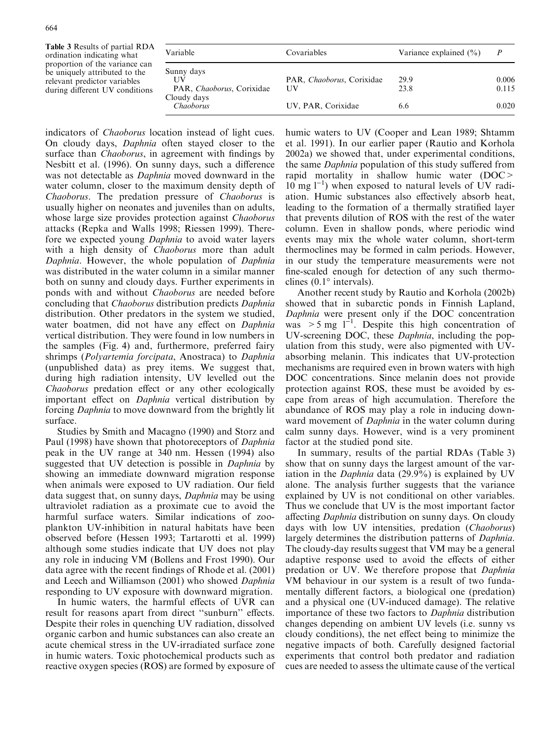Table 3 Results of partial RDA ordination indicating what proportion of the variance can be uniquely attributed to the relevant predictor variables during different UV conditions

| Variable                                 | Covariables               | Variance explained $(\% )$ | P     |
|------------------------------------------|---------------------------|----------------------------|-------|
| Sunny days                               |                           |                            |       |
| НV                                       | PAR, Chaoborus, Corixidae | 29.9                       | 0.006 |
| PAR, Chaoborus, Corixidae<br>Cloudy days | UV                        | 23.8                       | 0.115 |
| Chaoborus                                | UV, PAR, Corixidae        | 6.6                        | 0.020 |

indicators of Chaoborus location instead of light cues. On cloudy days, Daphnia often stayed closer to the surface than *Chaoborus*, in agreement with findings by Nesbitt et al. (1996). On sunny days, such a difference was not detectable as Daphnia moved downward in the water column, closer to the maximum density depth of Chaoborus. The predation pressure of Chaoborus is usually higher on neonates and juveniles than on adults, whose large size provides protection against *Chaoborus* attacks (Repka and Walls 1998; Riessen 1999). Therefore we expected young Daphnia to avoid water layers with a high density of *Chaoborus* more than adult Daphnia. However, the whole population of Daphnia was distributed in the water column in a similar manner both on sunny and cloudy days. Further experiments in ponds with and without Chaoborus are needed before concluding that Chaoborus distribution predicts Daphnia distribution. Other predators in the system we studied, water boatmen, did not have any effect on *Daphnia* vertical distribution. They were found in low numbers in the samples (Fig. 4) and, furthermore, preferred fairy shrimps (Polyartemia forcipata, Anostraca) to Daphnia (unpublished data) as prey items. We suggest that, during high radiation intensity, UV levelled out the Chaoborus predation effect or any other ecologically important effect on Daphnia vertical distribution by forcing Daphnia to move downward from the brightly lit surface.

Studies by Smith and Macagno (1990) and Storz and Paul (1998) have shown that photoreceptors of *Daphnia* peak in the UV range at 340 nm. Hessen (1994) also suggested that UV detection is possible in Daphnia by showing an immediate downward migration response when animals were exposed to UV radiation. Our field data suggest that, on sunny days, Daphnia may be using ultraviolet radiation as a proximate cue to avoid the harmful surface waters. Similar indications of zooplankton UV-inhibition in natural habitats have been observed before (Hessen 1993; Tartarotti et al. 1999) although some studies indicate that UV does not play any role in inducing VM (Bollens and Frost 1990). Our data agree with the recent findings of Rhode et al. (2001) and Leech and Williamson (2001) who showed Daphnia responding to UV exposure with downward migration.

In humic waters, the harmful effects of UVR can result for reasons apart from direct ''sunburn'' effects. Despite their roles in quenching UV radiation, dissolved organic carbon and humic substances can also create an acute chemical stress in the UV-irradiated surface zone in humic waters. Toxic photochemical products such as reactive oxygen species (ROS) are formed by exposure of humic waters to UV (Cooper and Lean 1989; Shtamm et al. 1991). In our earlier paper (Rautio and Korhola 2002a) we showed that, under experimental conditions, the same Daphnia population of this study suffered from rapid mortality in shallow humic water (DOC>  $10 \text{ mg } 1^{-1}$ ) when exposed to natural levels of UV radiation. Humic substances also effectively absorb heat, leading to the formation of a thermally stratified layer that prevents dilution of ROS with the rest of the water column. Even in shallow ponds, where periodic wind events may mix the whole water column, short-term thermoclines may be formed in calm periods. However, in our study the temperature measurements were not fine-scaled enough for detection of any such thermoclines  $(0.1^{\circ}$  intervals).

Another recent study by Rautio and Korhola (2002b) showed that in subarctic ponds in Finnish Lapland, Daphnia were present only if the DOC concentration was  $> 5$  mg  $1^{-1}$ . Despite this high concentration of UV-screening DOC, these Daphnia, including the population from this study, were also pigmented with UVabsorbing melanin. This indicates that UV-protection mechanisms are required even in brown waters with high DOC concentrations. Since melanin does not provide protection against ROS, these must be avoided by escape from areas of high accumulation. Therefore the abundance of ROS may play a role in inducing downward movement of *Daphnia* in the water column during calm sunny days. However, wind is a very prominent factor at the studied pond site.

In summary, results of the partial RDAs (Table 3) show that on sunny days the largest amount of the variation in the Daphnia data (29.9%) is explained by UV alone. The analysis further suggests that the variance explained by UV is not conditional on other variables. Thus we conclude that UV is the most important factor affecting Daphnia distribution on sunny days. On cloudy days with low UV intensities, predation (Chaoborus) largely determines the distribution patterns of Daphnia. The cloudy-day results suggest that VM may be a general adaptive response used to avoid the effects of either predation or UV. We therefore propose that Daphnia VM behaviour in our system is a result of two fundamentally different factors, a biological one (predation) and a physical one (UV-induced damage). The relative importance of these two factors to Daphnia distribution changes depending on ambient UV levels (i.e. sunny vs cloudy conditions), the net effect being to minimize the negative impacts of both. Carefully designed factorial experiments that control both predator and radiation cues are needed to assess the ultimate cause of the vertical